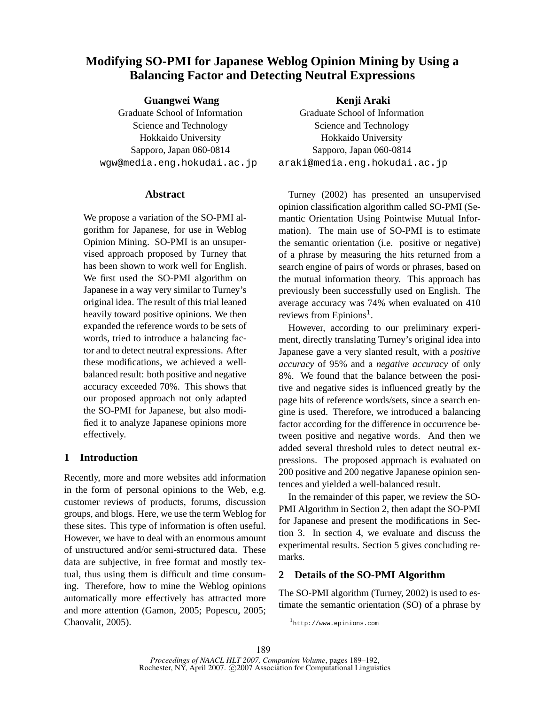# **Modifying SO-PMI for Japanese Weblog Opinion Mining by Using a Balancing Factor and Detecting Neutral Expressions**

**Guangwei Wang**

Graduate School of Information Science and Technology Hokkaido University Sapporo, Japan 060-0814 wgw@media.eng.hokudai.ac.jp

### **Abstract**

We propose a variation of the SO-PMI algorithm for Japanese, for use in Weblog Opinion Mining. SO-PMI is an unsupervised approach proposed by Turney that has been shown to work well for English. We first used the SO-PMI algorithm on Japanese in a way very similar to Turney's original idea. The result of this trial leaned heavily toward positive opinions. We then expanded the reference words to be sets of words, tried to introduce a balancing factor and to detect neutral expressions. After these modifications, we achieved a wellbalanced result: both positive and negative accuracy exceeded 70%. This shows that our proposed approach not only adapted the SO-PMI for Japanese, but also modified it to analyze Japanese opinions more effectively.

# **1 Introduction**

Recently, more and more websites add information in the form of personal opinions to the Web, e.g. customer reviews of products, forums, discussion groups, and blogs. Here, we use the term Weblog for these sites. This type of information is often useful. However, we have to deal with an enormous amount of unstructured and/or semi-structured data. These data are subjective, in free format and mostly textual, thus using them is difficult and time consuming. Therefore, how to mine the Weblog opinions automatically more effectively has attracted more and more attention (Gamon, 2005; Popescu, 2005; Chaovalit, 2005).

**Kenji Araki** Graduate School of Information Science and Technology Hokkaido University Sapporo, Japan 060-0814 araki@media.eng.hokudai.ac.jp

Turney (2002) has presented an unsupervised opinion classification algorithm called SO-PMI (Semantic Orientation Using Pointwise Mutual Information). The main use of SO-PMI is to estimate the semantic orientation (i.e. positive or negative) of a phrase by measuring the hits returned from a search engine of pairs of words or phrases, based on the mutual information theory. This approach has previously been successfully used on English. The average accuracy was 74% when evaluated on 410 reviews from Epinions<sup>1</sup>.

However, according to our preliminary experiment, directly translating Turney's original idea into Japanese gave a very slanted result, with a *positive accuracy* of 95% and a *negative accuracy* of only 8%. We found that the balance between the positive and negative sides is influenced greatly by the page hits of reference words/sets, since a search engine is used. Therefore, we introduced a balancing factor according for the difference in occurrence between positive and negative words. And then we added several threshold rules to detect neutral expressions. The proposed approach is evaluated on 200 positive and 200 negative Japanese opinion sentences and yielded a well-balanced result.

In the remainder of this paper, we review the SO-PMI Algorithm in Section 2, then adapt the SO-PMI for Japanese and present the modifications in Section 3. In section 4, we evaluate and discuss the experimental results. Section 5 gives concluding remarks.

# **2 Details of the SO-PMI Algorithm**

The SO-PMI algorithm (Turney, 2002) is used to estimate the semantic orientation (SO) of a phrase by

<sup>1</sup> http://www.epinions.com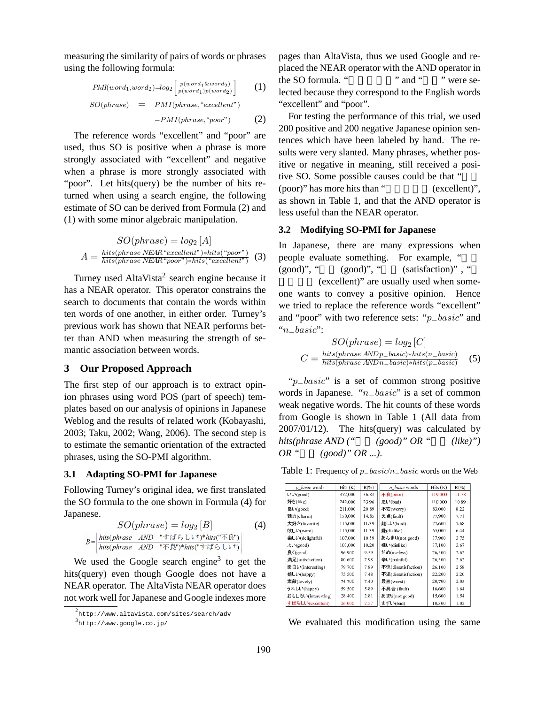measuring the similarity of pairs of words or phrases using the following formula:

$$
PMI(word_1, word_2) = log_2 \left[ \frac{p(word_1 \& word_2)}{p(word_1)p(word_2)} \right] \tag{1}
$$
\n
$$
SO(phrase) = PMI(phrase, "excellent")
$$
\n
$$
-PMI(phrase, "poor") \tag{2}
$$

The reference words "excellent" and "poor" are used, thus SO is positive when a phrase is more strongly associated with "excellent" and negative when a phrase is more strongly associated with "poor". Let hits(query) be the number of hits returned when using a search engine, the following estimate of SO can be derived from Formula (2) and (1) with some minor algebraic manipulation.

$$
SO(phrase) = log_2 [A]
$$

$$
A = \frac{hits(phrase) EAR "excellent") * hits("poor")}{hits(phrase) NEAR "poor") * hits("excellent")} (3)
$$

Turney used AltaVista<sup>2</sup> search engine because it has a NEAR operator. This operator constrains the search to documents that contain the words within ten words of one another, in either order. Turney's previous work has shown that NEAR performs better than AND when measuring the strength of semantic association between words.

### **3 Our Proposed Approach**

The first step of our approach is to extract opinion phrases using word POS (part of speech) templates based on our analysis of opinions in Japanese Weblog and the results of related work (Kobayashi, 2003; Taku, 2002; Wang, 2006). The second step is to estimate the semantic orientation of the extracted phrases, using the SO-PMI algorithm.

#### **3.1 Adapting SO-PMI for Japanese**

Following Turney's original idea, we first translated the SO formula to the one shown in Formula (4) for Japanese.

$$
SO(phrase) = log_2[B] \tag{4}
$$
  

$$
B = \begin{bmatrix} \frac{hits(phrase \quad AND \quad " \neq \downarrow \uparrow \bigcirc \cup \vee \text{")}^* \text{hits}(\text{''} \neq \downarrow \uparrow \vee)}{\text{hits(phrase \quad AND \quad " \neq \downarrow \uparrow \vee \uparrow \vee \uparrow \uparrow \uparrow \uparrow \bigcirc} \cup \vee \text{''})} \end{bmatrix}
$$

We used the Google search engine<sup>3</sup> to get the hits(query) even though Google does not have a NEAR operator. The AltaVista NEAR operator does not work well for Japanese and Google indexes more pages than AltaVista, thus we used Google and replaced the NEAR operator with the AND operator in the SO formula. " $\ddot{ }$  " and "  $\ddot{ }$  were selected because they correspond to the English words "excellent" and "poor".

For testing the performance of this trial, we used 200 positive and 200 negative Japanese opinion sentences which have been labeled by hand. The results were very slanted. Many phrases, whether positive or negative in meaning, still received a positive SO. Some possible causes could be that "  $(poor)$ " has more hits than " $(excellent)$ ", as shown in Table 1, and that the AND operator is less useful than the NEAR operator.

#### **3.2 Modifying SO-PMI for Japanese**

In Japanese, there are many expressions when people evaluate something. For example, "  $(good)$ ", " $(good)$ ", " $(satisfaction)$ ", " (excellent)" are usually used when someone wants to convey a positive opinion. Hence we tried to replace the reference words "excellent" and "poor" with two reference sets: "p−basic" and "n−basic":

$$
SO(phrase) = log_2 [C]
$$

$$
C = \frac{hits(phrase \ ANDp\_basic)*hits(n\_basic)}{hits(phrase \ ANDn\_basic)*hits(p\_basic)} \quad (5)
$$

"p−basic" is a set of common strong positive words in Japanese. "n−basic" is a set of common weak negative words. The hit counts of these words from Google is shown in Table 1 (All data from  $2007/01/12$ ). The hits(query) was calculated by  $hits(phrase \ AND \ (*good*)" \ OR \$ "  $(like)")$  $OR$  "  $(good)$ "  $OR$  ...).

Table 1: Frequency of p−basic/n−basic words on the Web

| p basic words      | $H$ its $(K)$ | $R(\%)$ | n basic words       | $H$ its $(K)$ | $R(\%)$ |
|--------------------|---------------|---------|---------------------|---------------|---------|
| UV(good)           | 372,000       | 36.83   | 不良(poor)            | 119,000       | 11.78   |
| 好き(like)           | 242,000       | 23.96   | 悪い(bad)             | 110,000       | 10.89   |
| 良い(good)           | 211.000       | 20.89   | 不安(worry)           | 83,000        | 8.22    |
| 魅力(charm)          | 150,000       | 14.85   | 欠点(fault)           | 77,900        | 7.71    |
| 大好き(favorite)      | 115,000       | 11.39   | 難しい(hard)           | 77,600        | 7.68    |
| 欲しい(want)          | 115,000       | 11.39   | 嫌(dislike)          | 65,000        | 6.44    |
| 楽しい(delightful)    | 107,000       | 10.59   | あんまり(not good)      | 37,900        | 3.75    |
| よい(good)           | 103,000       | 10.20   | 嫌い(dislike)         | 37.100        | 3.67    |
| 良く(good)           | 96,900        | 9.59    | だめ(useless)         | 26,500        | 2.62    |
| 満足(satisfaction)   | 80,600        | 7.98    | 辛い(painful)         | 26,500        | 2.62    |
| 面白い(interesting)   | 79,700        | 7.89    | 不快(dissatisfaction) | 26,100        | 2.58    |
| 嬉しい(happy)         | 75,500        | 7.48    | 不満(dissatisfaction) | 22,200        | 2.20    |
| 素敵(lovely)         | 74,700        | 7.40    | 最悪(worst)           | 20,700        | 2.05    |
| うれしい(happy)        | 59,500        | 5.89    | 不具合 (fault)         | 16,600        | 1.64    |
| おもしろい(interesting) | 28,400        | 2.81    | あまり(not good)       | 15,600        | 1.54    |
| すばらしい(excellent)   | 26,000        | 2.57    | まずい(bad)            | 10,300        | 1.02    |

We evaluated this modification using the same

<sup>2</sup> http://www.altavista.com/sites/search/adv

<sup>3</sup> http://www.google.co.jp/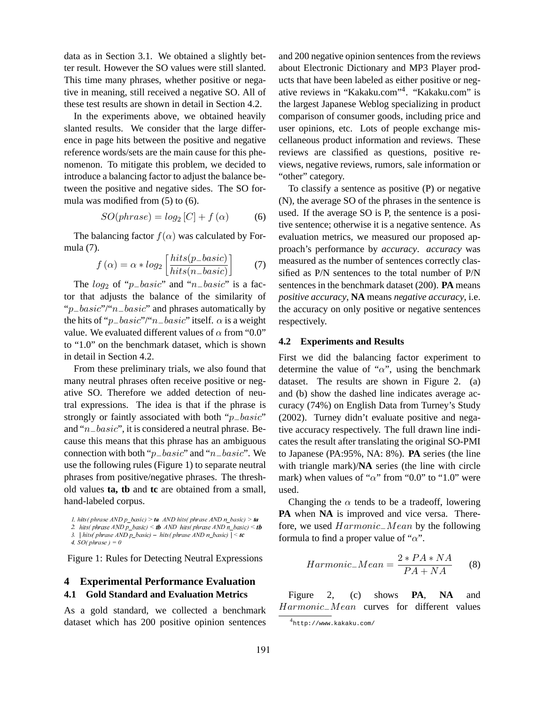data as in Section 3.1. We obtained a slightly better result. However the SO values were still slanted. This time many phrases, whether positive or negative in meaning, still received a negative SO. All of these test results are shown in detail in Section 4.2.

In the experiments above, we obtained heavily slanted results. We consider that the large difference in page hits between the positive and negative reference words/sets are the main cause for this phenomenon. To mitigate this problem, we decided to introduce a balancing factor to adjust the balance between the positive and negative sides. The SO formula was modified from (5) to (6).

$$
SO(phrase) = log_2[C] + f(\alpha)
$$
 (6)

The balancing factor  $f(\alpha)$  was calculated by Formula (7). ·  $\overline{a}$ 

$$
f(\alpha) = \alpha * log_2 \left[ \frac{hits(p\_basic)}{hits(n\_basic)} \right] \tag{7}
$$

The  $log_2$  of "p $–basic$ " and "n $–basic$ " is a factor that adjusts the balance of the similarity of " $p_b = basic$ "/" $n_b = basic$ " and phrases automatically by the hits of " $p\_basic$ "/" $n\_basic$ " itself.  $\alpha$  is a weight value. We evaluated different values of  $\alpha$  from "0.0" to "1.0" on the benchmark dataset, which is shown in detail in Section 4.2.

From these preliminary trials, we also found that many neutral phrases often receive positive or negative SO. Therefore we added detection of neutral expressions. The idea is that if the phrase is strongly or faintly associated with both "*p*<sub>−</sub>basic" and "n−basic", it is considered a neutral phrase. Because this means that this phrase has an ambiguous connection with both "p−basic" and "n−basic". We use the following rules (Figure 1) to separate neutral phrases from positive/negative phrases. The threshold values **ta, tb** and **tc** are obtained from a small, hand-labeled corpus.

Figure 1: Rules for Detecting Neutral Expressions

# **4 Experimental Performance Evaluation 4.1 Gold Standard and Evaluation Metrics**

As a gold standard, we collected a benchmark dataset which has 200 positive opinion sentences and 200 negative opinion sentences from the reviews about Electronic Dictionary and MP3 Player products that have been labeled as either positive or negative reviews in "Kakaku.com"<sup>4</sup>. "Kakaku.com" is the largest Japanese Weblog specializing in product comparison of consumer goods, including price and user opinions, etc. Lots of people exchange miscellaneous product information and reviews. These reviews are classified as questions, positive reviews, negative reviews, rumors, sale information or "other" category.

To classify a sentence as positive (P) or negative (N), the average SO of the phrases in the sentence is used. If the average SO is P, the sentence is a positive sentence; otherwise it is a negative sentence. As evaluation metrics, we measured our proposed approach's performance by *accuracy*. *accuracy* was measured as the number of sentences correctly classified as P/N sentences to the total number of P/N sentences in the benchmark dataset (200). **PA** means *positive accuracy*, **NA** means *negative accuracy*, i.e. the accuracy on only positive or negative sentences respectively.

#### **4.2 Experiments and Results**

First we did the balancing factor experiment to determine the value of " $\alpha$ ", using the benchmark dataset. The results are shown in Figure 2. (a) and (b) show the dashed line indicates average accuracy (74%) on English Data from Turney's Study (2002). Turney didn't evaluate positive and negative accuracy respectively. The full drawn line indicates the result after translating the original SO-PMI to Japanese (PA:95%, NA: 8%). **PA** series (the line with triangle mark)/**NA** series (the line with circle mark) when values of " $\alpha$ " from "0.0" to "1.0" were used.

Changing the  $\alpha$  tends to be a tradeoff, lowering **PA** when **NA** is improved and vice versa. Therefore, we used Harmonic−Mean by the following formula to find a proper value of " $\alpha$ ".

$$
Harmonic\_Mean = \frac{2 * PA * NA}{PA + NA}
$$
 (8)

Figure 2, (c) shows **PA**, **NA** and Harmonic−Mean curves for different values

*l.* hits(phrase AND p basic) > ta AND hits(phrase AND n basic) > ta 2. hits ( phrase AND p basic)  $\leq$  tb AND hits ( phrase AND n basic)  $\leq$  tb

<sup>3. |</sup> hits( phrase AND p basic) – hits( phrase AND n basic)  $| \leq t_c$ 

<sup>4.</sup>  $SO(\text{phrase}) = 0$ 

<sup>4</sup> http://www.kakaku.com/